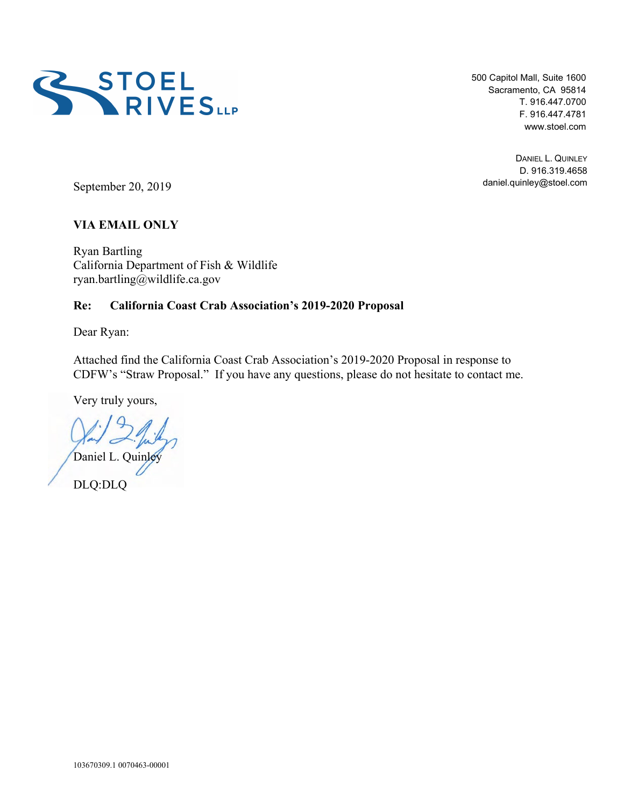

500 Capitol Mall, Suite 1600 Sacramento, CA 95814 T. 916.447.0700 F. 916.447.4781 www.stoel.com

DANIEL L. QUINLEY D. 916.319.4658 daniel.quinley@stoel.com

September 20, 2019

## **VIA EMAIL ONLY**

Ryan Bartling California Department of Fish & Wildlife ryan.bartling@wildlife.ca.gov

### **Re: California Coast Crab Association's 2019-2020 Proposal**

Dear Ryan:

Attached find the California Coast Crab Association's 2019-2020 Proposal in response to CDFW's "Straw Proposal." If you have any questions, please do not hesitate to contact me.

Very truly yours,

Daniel L. Quinl

DLQ:DLQ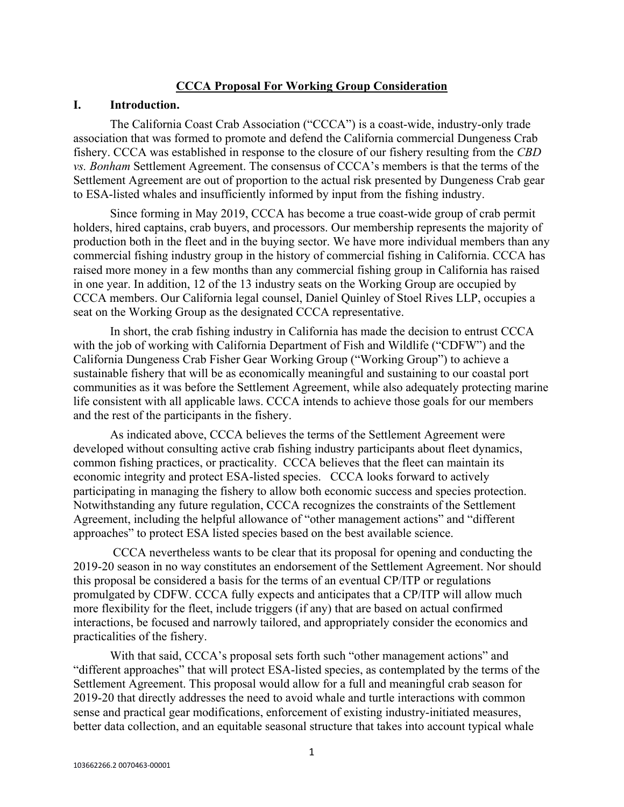#### **CCCA Proposal For Working Group Consideration**

#### **I. Introduction.**

The California Coast Crab Association ("CCCA") is a coast-wide, industry-only trade association that was formed to promote and defend the California commercial Dungeness Crab fishery. CCCA was established in response to the closure of our fishery resulting from the *CBD vs. Bonham* Settlement Agreement. The consensus of CCCA's members is that the terms of the Settlement Agreement are out of proportion to the actual risk presented by Dungeness Crab gear to ESA-listed whales and insufficiently informed by input from the fishing industry.

Since forming in May 2019, CCCA has become a true coast-wide group of crab permit holders, hired captains, crab buyers, and processors. Our membership represents the majority of production both in the fleet and in the buying sector. We have more individual members than any commercial fishing industry group in the history of commercial fishing in California. CCCA has raised more money in a few months than any commercial fishing group in California has raised in one year. In addition, 12 of the 13 industry seats on the Working Group are occupied by CCCA members. Our California legal counsel, Daniel Quinley of Stoel Rives LLP, occupies a seat on the Working Group as the designated CCCA representative.

In short, the crab fishing industry in California has made the decision to entrust CCCA with the job of working with California Department of Fish and Wildlife ("CDFW") and the California Dungeness Crab Fisher Gear Working Group ("Working Group") to achieve a sustainable fishery that will be as economically meaningful and sustaining to our coastal port communities as it was before the Settlement Agreement, while also adequately protecting marine life consistent with all applicable laws. CCCA intends to achieve those goals for our members and the rest of the participants in the fishery.

As indicated above, CCCA believes the terms of the Settlement Agreement were developed without consulting active crab fishing industry participants about fleet dynamics, common fishing practices, or practicality. CCCA believes that the fleet can maintain its economic integrity and protect ESA-listed species. CCCA looks forward to actively participating in managing the fishery to allow both economic success and species protection. Notwithstanding any future regulation, CCCA recognizes the constraints of the Settlement Agreement, including the helpful allowance of "other management actions" and "different approaches" to protect ESA listed species based on the best available science.

CCCA nevertheless wants to be clear that its proposal for opening and conducting the 2019-20 season in no way constitutes an endorsement of the Settlement Agreement. Nor should this proposal be considered a basis for the terms of an eventual CP/ITP or regulations promulgated by CDFW. CCCA fully expects and anticipates that a CP/ITP will allow much more flexibility for the fleet, include triggers (if any) that are based on actual confirmed interactions, be focused and narrowly tailored, and appropriately consider the economics and practicalities of the fishery.

With that said, CCCA's proposal sets forth such "other management actions" and "different approaches" that will protect ESA-listed species, as contemplated by the terms of the Settlement Agreement. This proposal would allow for a full and meaningful crab season for 2019-20 that directly addresses the need to avoid whale and turtle interactions with common sense and practical gear modifications, enforcement of existing industry-initiated measures, better data collection, and an equitable seasonal structure that takes into account typical whale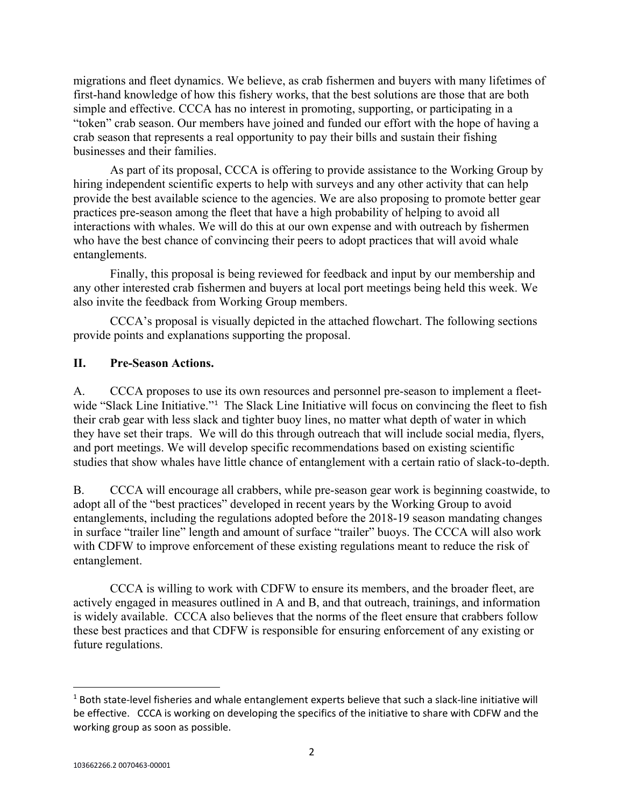migrations and fleet dynamics. We believe, as crab fishermen and buyers with many lifetimes of first-hand knowledge of how this fishery works, that the best solutions are those that are both simple and effective. CCCA has no interest in promoting, supporting, or participating in a "token" crab season. Our members have joined and funded our effort with the hope of having a crab season that represents a real opportunity to pay their bills and sustain their fishing businesses and their families.

As part of its proposal, CCCA is offering to provide assistance to the Working Group by hiring independent scientific experts to help with surveys and any other activity that can help provide the best available science to the agencies. We are also proposing to promote better gear practices pre-season among the fleet that have a high probability of helping to avoid all interactions with whales. We will do this at our own expense and with outreach by fishermen who have the best chance of convincing their peers to adopt practices that will avoid whale entanglements.

Finally, this proposal is being reviewed for feedback and input by our membership and any other interested crab fishermen and buyers at local port meetings being held this week. We also invite the feedback from Working Group members.

CCCA's proposal is visually depicted in the attached flowchart. The following sections provide points and explanations supporting the proposal.

## **II. Pre-Season Actions.**

A. CCCA proposes to use its own resources and personnel pre-season to implement a fleet-wide "Slack Line Initiative."<sup>[1](#page-2-0)</sup> The Slack Line Initiative will focus on convincing the fleet to fish their crab gear with less slack and tighter buoy lines, no matter what depth of water in which they have set their traps. We will do this through outreach that will include social media, flyers, and port meetings. We will develop specific recommendations based on existing scientific studies that show whales have little chance of entanglement with a certain ratio of slack-to-depth.

B. CCCA will encourage all crabbers, while pre-season gear work is beginning coastwide, to adopt all of the "best practices" developed in recent years by the Working Group to avoid entanglements, including the regulations adopted before the 2018-19 season mandating changes in surface "trailer line" length and amount of surface "trailer" buoys. The CCCA will also work with CDFW to improve enforcement of these existing regulations meant to reduce the risk of entanglement.

CCCA is willing to work with CDFW to ensure its members, and the broader fleet, are actively engaged in measures outlined in A and B, and that outreach, trainings, and information is widely available. CCCA also believes that the norms of the fleet ensure that crabbers follow these best practices and that CDFW is responsible for ensuring enforcement of any existing or future regulations.

<span id="page-2-0"></span> <sup>1</sup> Both state-level fisheries and whale entanglement experts believe that such a slack-line initiative will be effective. CCCA is working on developing the specifics of the initiative to share with CDFW and the working group as soon as possible.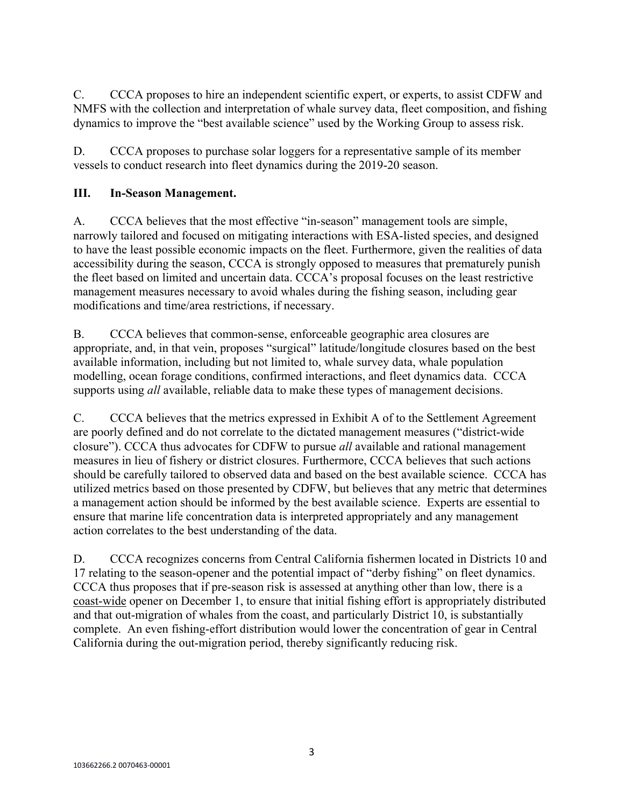C. CCCA proposes to hire an independent scientific expert, or experts, to assist CDFW and NMFS with the collection and interpretation of whale survey data, fleet composition, and fishing dynamics to improve the "best available science" used by the Working Group to assess risk.

D. CCCA proposes to purchase solar loggers for a representative sample of its member vessels to conduct research into fleet dynamics during the 2019-20 season.

# **III. In-Season Management.**

A. CCCA believes that the most effective "in-season" management tools are simple, narrowly tailored and focused on mitigating interactions with ESA-listed species, and designed to have the least possible economic impacts on the fleet. Furthermore, given the realities of data accessibility during the season, CCCA is strongly opposed to measures that prematurely punish the fleet based on limited and uncertain data. CCCA's proposal focuses on the least restrictive management measures necessary to avoid whales during the fishing season, including gear modifications and time/area restrictions, if necessary.

B. CCCA believes that common-sense, enforceable geographic area closures are appropriate, and, in that vein, proposes "surgical" latitude/longitude closures based on the best available information, including but not limited to, whale survey data, whale population modelling, ocean forage conditions, confirmed interactions, and fleet dynamics data. CCCA supports using *all* available, reliable data to make these types of management decisions.

C. CCCA believes that the metrics expressed in Exhibit A of to the Settlement Agreement are poorly defined and do not correlate to the dictated management measures ("district-wide closure"). CCCA thus advocates for CDFW to pursue *all* available and rational management measures in lieu of fishery or district closures. Furthermore, CCCA believes that such actions should be carefully tailored to observed data and based on the best available science. CCCA has utilized metrics based on those presented by CDFW, but believes that any metric that determines a management action should be informed by the best available science. Experts are essential to ensure that marine life concentration data is interpreted appropriately and any management action correlates to the best understanding of the data.

D. CCCA recognizes concerns from Central California fishermen located in Districts 10 and 17 relating to the season-opener and the potential impact of "derby fishing" on fleet dynamics. CCCA thus proposes that if pre-season risk is assessed at anything other than low, there is a coast-wide opener on December 1, to ensure that initial fishing effort is appropriately distributed and that out-migration of whales from the coast, and particularly District 10, is substantially complete. An even fishing-effort distribution would lower the concentration of gear in Central California during the out-migration period, thereby significantly reducing risk.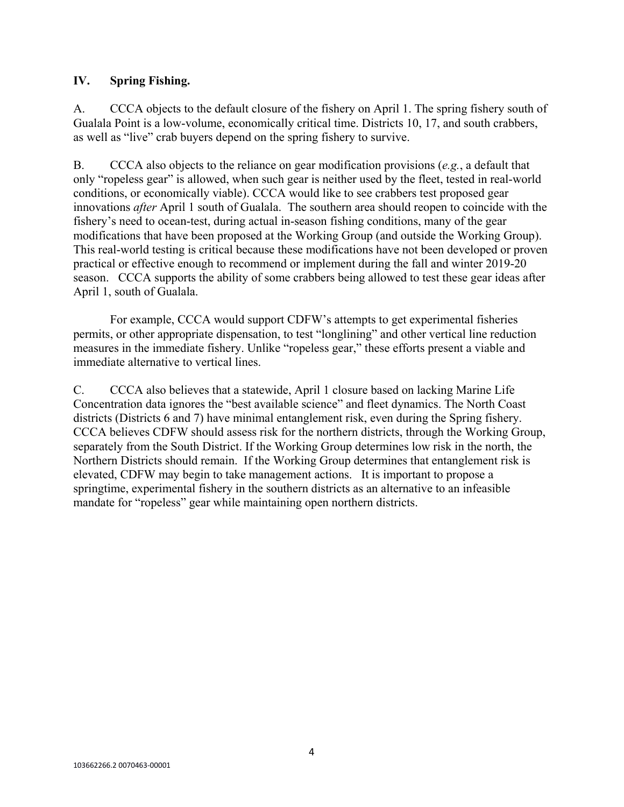## **IV. Spring Fishing.**

A. CCCA objects to the default closure of the fishery on April 1. The spring fishery south of Gualala Point is a low-volume, economically critical time. Districts 10, 17, and south crabbers, as well as "live" crab buyers depend on the spring fishery to survive.

B. CCCA also objects to the reliance on gear modification provisions (*e.g.*, a default that only "ropeless gear" is allowed, when such gear is neither used by the fleet, tested in real-world conditions, or economically viable). CCCA would like to see crabbers test proposed gear innovations *after* April 1 south of Gualala. The southern area should reopen to coincide with the fishery's need to ocean-test, during actual in-season fishing conditions, many of the gear modifications that have been proposed at the Working Group (and outside the Working Group). This real-world testing is critical because these modifications have not been developed or proven practical or effective enough to recommend or implement during the fall and winter 2019-20 season. CCCA supports the ability of some crabbers being allowed to test these gear ideas after April 1, south of Gualala.

For example, CCCA would support CDFW's attempts to get experimental fisheries permits, or other appropriate dispensation, to test "longlining" and other vertical line reduction measures in the immediate fishery. Unlike "ropeless gear," these efforts present a viable and immediate alternative to vertical lines.

C. CCCA also believes that a statewide, April 1 closure based on lacking Marine Life Concentration data ignores the "best available science" and fleet dynamics. The North Coast districts (Districts 6 and 7) have minimal entanglement risk, even during the Spring fishery. CCCA believes CDFW should assess risk for the northern districts, through the Working Group, separately from the South District. If the Working Group determines low risk in the north, the Northern Districts should remain. If the Working Group determines that entanglement risk is elevated, CDFW may begin to take management actions. It is important to propose a springtime, experimental fishery in the southern districts as an alternative to an infeasible mandate for "ropeless" gear while maintaining open northern districts.